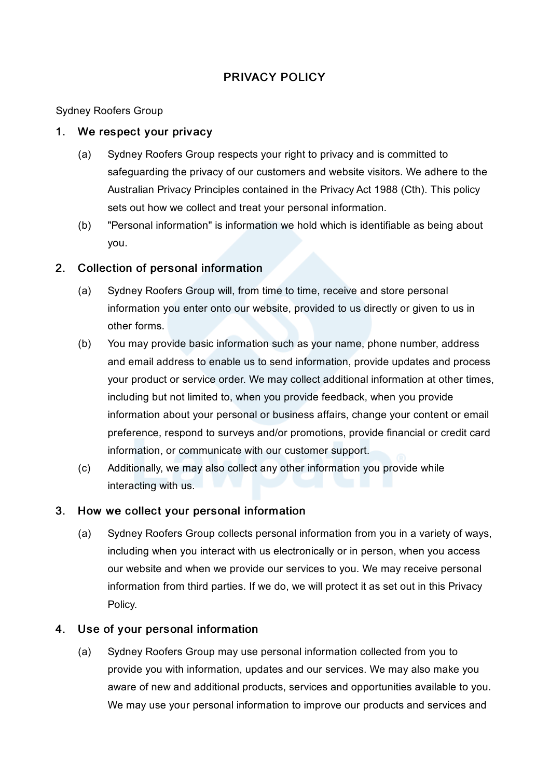# PRIVACY POLICY

Sydney Roofers Group

### 1. We respect your privacy

- (a) Sydney Roofers Group respects your right to privacy and is committed to safeguarding the privacy of our customers and website visitors. We adhere to the Australian Privacy Principles contained in the Privacy Act 1988 (Cth). This policy sets out how we collect and treat your personal information.
- (b) "Personal information" is information we hold which is identifiable as being about you.

## 2. Collection of personal information

- (a) Sydney Roofers Group will, from time to time, receive and store personal information you enter onto our website, provided to us directly or given to us in other forms.
- (b) You may provide basic information such as your name, phone number, address and email address to enable us to send information, provide updates and process your product or service order. We may collect additional information at other times, including but not limited to, when you provide feedback, when you provide information about your personal or business affairs, change your content or email preference, respond to surveys and/or promotions, provide financial or credit card information, or communicate with our customer support.
- (c) Additionally, we may also collect any other information you provide while interacting with us.

## 3. How we collect your personal information

(a) Sydney Roofers Group collects personal information from you in a variety of ways, including when you interact with us electronically or in person, when you access our website and when we provide our services to you. We may receive personal information from third parties. If we do, we will protect it as set out in this Privacy Policy.

## 4. Use of your personal information

(a) Sydney Roofers Group may use personal information collected from you to provide you with information, updates and our services. We may also make you aware of new and additional products, services and opportunities available to you. We may use your personal information to improve our products and services and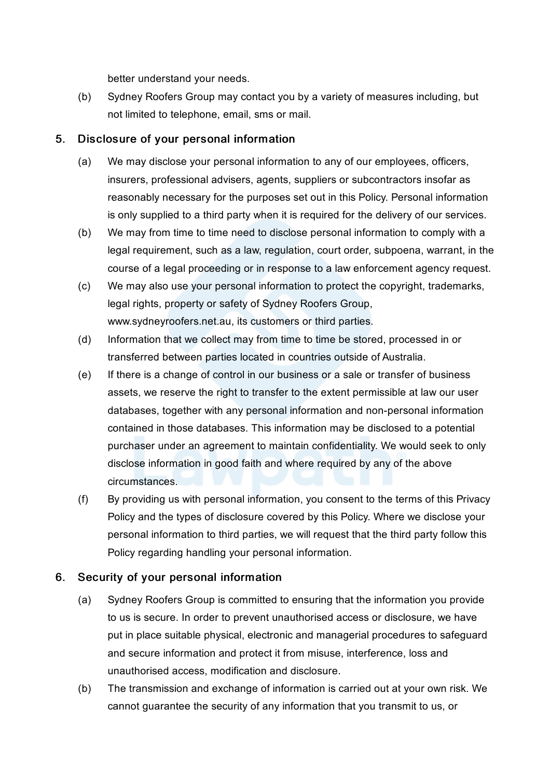better understand your needs.

(b) Sydney Roofers Group may contact you by a variety of measures including, but not limited to telephone, email, sms or mail.

### 5. Disclosure of your personal information

- (a) We may disclose your personal information to any of our employees, officers, insurers, professional advisers, agents, suppliers or subcontractors insofar as reasonably necessary for the purposes set out in this Policy. Personal information is only supplied to a third party when it is required for the delivery of our services.
- (b) We may from time to time need to disclose personal information to comply with a legal requirement, such as a law, regulation, court order, subpoena, warrant, in the course of a legal proceeding or in response to a law enforcement agency request.
- (c) We may also use your personal information to protect the copyright, trademarks, legal rights, property or safety of Sydney Roofers Group, www.sydneyroofers.net.au, its customers or third parties.
- (d) Information that we collect may from time to time be stored, processed in or transferred between parties located in countries outside of Australia.
- (e) If there is a change of control in our business or a sale or transfer of business assets, we reserve the right to transfer to the extent permissible at law our user databases, together with any personal information and non-personal information contained in those databases. This information may be disclosed to a potential purchaser under an agreement to maintain confidentiality. We would seek to only disclose information in good faith and where required by any of the above circumstances.
- (f) By providing us with personal information, you consent to the terms of this Privacy Policy and the types of disclosure covered by this Policy. Where we disclose your personal information to third parties, we will request that the third party follow this Policy regarding handling your personal information.

## 6. Security of your personal information

- (a) Sydney Roofers Group is committed to ensuring that the information you provide to us is secure. In order to prevent unauthorised access or disclosure, we have put in place suitable physical, electronic and managerial procedures to safeguard and secure information and protect it from misuse, interference, loss and unauthorised access, modification and disclosure.
- (b) The transmission and exchange of information is carried out at your own risk. We cannot guarantee the security of any information that you transmit to us, or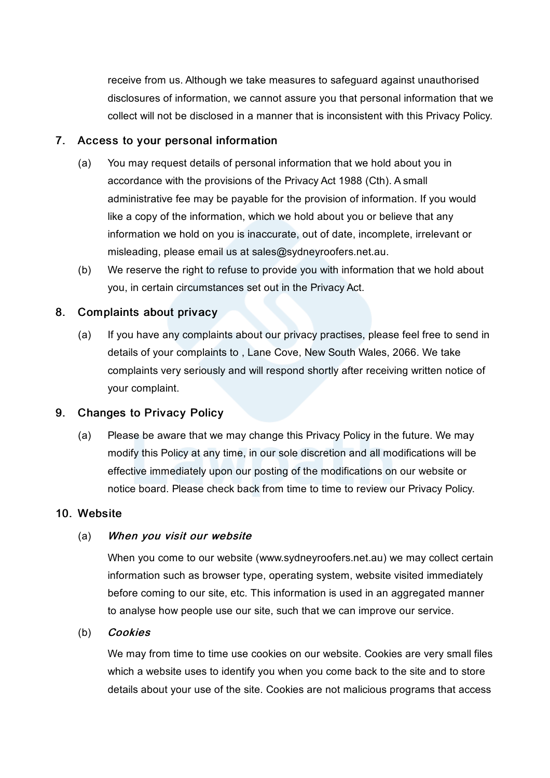receive from us. Although we take measures to safeguard against unauthorised disclosures of information, we cannot assure you that personal information that we collect will not be disclosed in a manner that is inconsistent with this Privacy Policy.

### 7. Access to your personal information

- (a) You may request details of personal information that we hold about you in accordance with the provisions of the Privacy Act 1988 (Cth). A small administrative fee may be payable for the provision of information. If you would like a copy of the information, which we hold about you or believe that any information we hold on you is inaccurate, out of date, incomplete, irrelevant or misleading, please email us at sales@sydneyroofers.net.au.
- (b) We reserve the right to refuse to provide you with information that we hold about you, in certain circumstances set out in the Privacy Act.

### 8. Complaints about privacy

(a) If you have any complaints about our privacy practises, please feel free to send in details of your complaints to , Lane Cove, New South Wales, 2066. We take complaints very seriously and will respond shortly after receiving written notice of your complaint.

### 9. Changes to Privacy Policy

(a) Please be aware that we may change this Privacy Policy in the future. We may modify this Policy at any time, in our sole discretion and all modifications will be effective immediately upon our posting of the modifications on our website or notice board. Please check back from time to time to review our Privacy Policy.

#### 10. Website

#### (a) When you visit our website

When you come to our website (www.sydneyroofers.net.au) we may collect certain information such as browser type, operating system, website visited immediately before coming to our site, etc. This information is used in an aggregated manner to analyse how people use our site, such that we can improve our service.

### (b) Cookies

We may from time to time use cookies on our website. Cookies are very small files which a website uses to identify you when you come back to the site and to store details about your use of the site. Cookies are not malicious programs that access